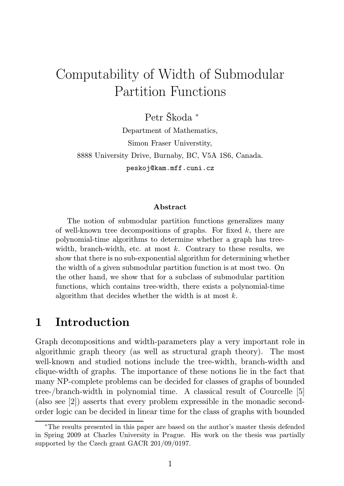# Computability of Width of Submodular Partition Functions

Petr Škoda <sup>∗</sup> Department of Mathematics, Simon Fraser Universtity, 8888 University Drive, Burnaby, BC, V5A 1S6, Canada. peskoj@kam.mff.cuni.cz

#### Abstract

The notion of submodular partition functions generalizes many of well-known tree decompositions of graphs. For fixed  $k$ , there are polynomial-time algorithms to determine whether a graph has treewidth, branch-width, etc. at most  $k$ . Contrary to these results, we show that there is no sub-exponential algorithm for determining whether the width of a given submodular partition function is at most two. On the other hand, we show that for a subclass of submodular partition functions, which contains tree-width, there exists a polynomial-time algorithm that decides whether the width is at most  $k$ .

### 1 Introduction

Graph decompositions and width-parameters play a very important role in algorithmic graph theory (as well as structural graph theory). The most well-known and studied notions include the tree-width, branch-width and clique-width of graphs. The importance of these notions lie in the fact that many NP-complete problems can be decided for classes of graphs of bounded tree-/branch-width in polynomial time. A classical result of Courcelle [5] (also see [2]) asserts that every problem expressible in the monadic secondorder logic can be decided in linear time for the class of graphs with bounded

<sup>∗</sup>The results presented in this paper are based on the author's master thesis defended in Spring 2009 at Charles University in Prague. His work on the thesis was partially supported by the Czech grant GACR 201/09/0197.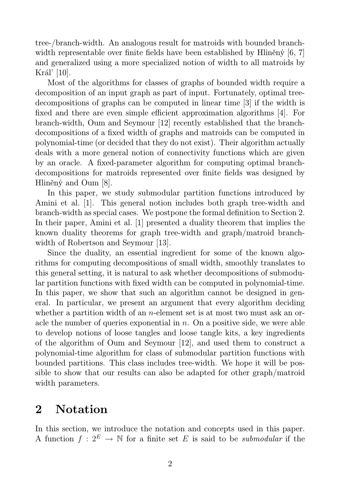tree-/branch-width. An analogous result for matroids with bounded branchwidth representable over finite fields have been established by Hliněný [6, 7] and generalized using a more specialized notion of width to all matroids by Král' [10].

Most of the algorithms for classes of graphs of bounded width require a decomposition of an input graph as part of input. Fortunately, optimal treedecompositions of graphs can be computed in linear time [3] if the width is fixed and there are even simple efficient approximation algorithms [4]. For branch-width, Oum and Seymour [12] recently established that the branchdecompositions of a fixed width of graphs and matroids can be computed in polynomial-time (or decided that they do not exist). Their algorithm actually deals with a more general notion of connectivity functions which are given by an oracle. A fixed-parameter algorithm for computing optimal branchdecompositions for matroids represented over finite fields was designed by Hliněný and Oum [8].

In this paper, we study submodular partition functions introduced by Amini et al. [1]. This general notion includes both graph tree-width and branch-width as special cases. We postpone the formal definition to Section 2. In their paper, Amini et al. [1] presented a duality theorem that implies the known duality theorems for graph tree-width and graph/matroid branchwidth of Robertson and Seymour [13].

Since the duality, an essential ingredient for some of the known algorithms for computing decompositions of small width, smoothly translates to this general setting, it is natural to ask whether decompositions of submodular partition functions with fixed width can be computed in polynomial-time. In this paper, we show that such an algorithm cannot be designed in general. In particular, we present an argument that every algorithm deciding whether a partition width of an *n*-element set is at most two must ask an oracle the number of queries exponential in  $n$ . On a positive side, we were able to develop notions of loose tangles and loose tangle kits, a key ingredients of the algorithm of Oum and Seymour [12], and used them to construct a polynomial-time algorithm for class of submodular partition functions with bounded partitions. This class includes tree-width. We hope it will be possible to show that our results can also be adapted for other graph/matroid width parameters.

### 2 Notation

In this section, we introduce the notation and concepts used in this paper. A function  $f: 2^E \to \mathbb{N}$  for a finite set E is said to be *submodular* if the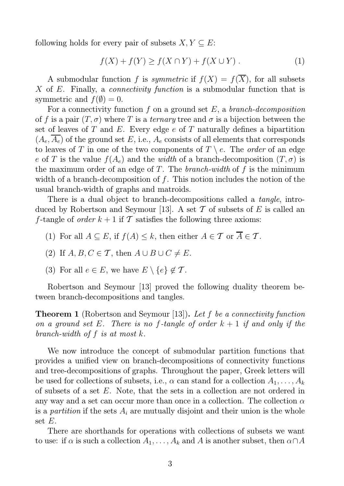following holds for every pair of subsets  $X, Y \subseteq E$ :

$$
f(X) + f(Y) \ge f(X \cap Y) + f(X \cup Y) . \tag{1}
$$

A submodular function f is *symmetric* if  $f(X) = f(\overline{X})$ , for all subsets X of E. Finally, a *connectivity function* is a submodular function that is symmetric and  $f(\emptyset) = 0$ .

For a connectivity function  $f$  on a ground set  $E$ , a *branch-decomposition* of f is a pair  $(T, \sigma)$  where T is a ternary tree and  $\sigma$  is a bijection between the set of leaves of T and E. Every edge  $e$  of T naturally defines a bipartition  $(A_e, A_e)$  of the ground set E, i.e.,  $A_e$  consists of all elements that corresponds to leaves of T in one of the two components of  $T \setminus e$ . The *order* of an edge e of T is the value  $f(A_e)$  and the width of a branch-decomposition  $(T, \sigma)$  is the maximum order of an edge of T. The *branch-width* of  $f$  is the minimum width of a branch-decomposition of  $f$ . This notion includes the notion of the usual branch-width of graphs and matroids.

There is a dual object to branch-decompositions called a *tangle*, introduced by Robertson and Seymour [13]. A set  $\mathcal T$  of subsets of E is called an f-tangle of *order*  $k + 1$  if T satisfies the following three axioms:

- (1) For all  $A \subseteq E$ , if  $f(A) \leq k$ , then either  $A \in \mathcal{T}$  or  $\overline{A} \in \mathcal{T}$ .
- (2) If  $A, B, C \in \mathcal{T}$ , then  $A \cup B \cup C \neq E$ .
- (3) For all  $e \in E$ , we have  $E \setminus \{e\} \notin \mathcal{T}$ .

Robertson and Seymour [13] proved the following duality theorem between branch-decompositions and tangles.

**Theorem 1** (Robertson and Seymour [13]). Let f be a connectivity function on a ground set E. There is no f-tangle of order  $k + 1$  if and only if the branch-width of  $f$  is at most  $k$ .

We now introduce the concept of submodular partition functions that provides a unified view on branch-decompositions of connectivity functions and tree-decompositions of graphs. Throughout the paper, Greek letters will be used for collections of subsets, i.e.,  $\alpha$  can stand for a collection  $A_1, \ldots, A_k$ of subsets of a set E. Note, that the sets in a collection are not ordered in any way and a set can occur more than once in a collection. The collection  $\alpha$ is a *partition* if the sets  $A_i$  are mutually disjoint and their union is the whole set E.

There are shorthands for operations with collections of subsets we want to use: if  $\alpha$  is such a collection  $A_1, \ldots, A_k$  and A is another subset, then  $\alpha \cap A$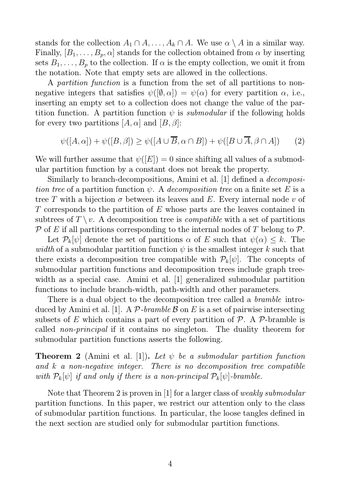stands for the collection  $A_1 \cap A, \ldots, A_k \cap A$ . We use  $\alpha \setminus A$  in a similar way. Finally,  $[B_1, \ldots, B_p, \alpha]$  stands for the collection obtained from  $\alpha$  by inserting sets  $B_1, \ldots, B_p$  to the collection. If  $\alpha$  is the empty collection, we omit it from the notation. Note that empty sets are allowed in the collections.

A partition function is a function from the set of all partitions to nonnegative integers that satisfies  $\psi([\emptyset, \alpha]) = \psi(\alpha)$  for every partition  $\alpha$ , i.e., inserting an empty set to a collection does not change the value of the partition function. A partition function  $\psi$  is *submodular* if the following holds for every two partitions  $[A, \alpha]$  and  $[B, \beta]$ :

$$
\psi([A,\alpha]) + \psi([B,\beta]) \ge \psi([A \cup \overline{B}, \alpha \cap B]) + \psi([B \cup \overline{A}, \beta \cap A]) \tag{2}
$$

We will further assume that  $\psi([E]) = 0$  since shifting all values of a submodular partition function by a constant does not break the property.

Similarly to branch-decompositions, Amini et al. [1] defined a decomposition tree of a partition function  $\psi$ . A decomposition tree on a finite set E is a tree T with a bijection  $\sigma$  between its leaves and E. Every internal node v of  $T$  corresponds to the partition of  $E$  whose parts are the leaves contained in subtrees of  $T \setminus v$ . A decomposition tree is *compatible* with a set of partitions  $\mathcal P$  of E if all partitions corresponding to the internal nodes of T belong to  $\mathcal P$ .

Let  $\mathcal{P}_k[\psi]$  denote the set of partitions  $\alpha$  of E such that  $\psi(\alpha) \leq k$ . The width of a submodular partition function  $\psi$  is the smallest integer k such that there exists a decomposition tree compatible with  $P_k[\psi]$ . The concepts of submodular partition functions and decomposition trees include graph treewidth as a special case. Amini et al. [1] generalized submodular partition functions to include branch-width, path-width and other parameters.

There is a dual object to the decomposition tree called a *bramble* introduced by Amini et al. [1]. A P-bramble B on E is a set of pairwise intersecting subsets of E which contains a part of every partition of  $\mathcal{P}$ . A  $\mathcal{P}$ -bramble is called non-principal if it contains no singleton. The duality theorem for submodular partition functions asserts the following.

**Theorem 2** (Amini et al. [1]). Let  $\psi$  be a submodular partition function and k a non-negative integer. There is no decomposition tree compatible with  $\mathcal{P}_k[\psi]$  if and only if there is a non-principal  $\mathcal{P}_k[\psi]$ -bramble.

Note that Theorem 2 is proven in [1] for a larger class of weakly submodular partition functions. In this paper, we restrict our attention only to the class of submodular partition functions. In particular, the loose tangles defined in the next section are studied only for submodular partition functions.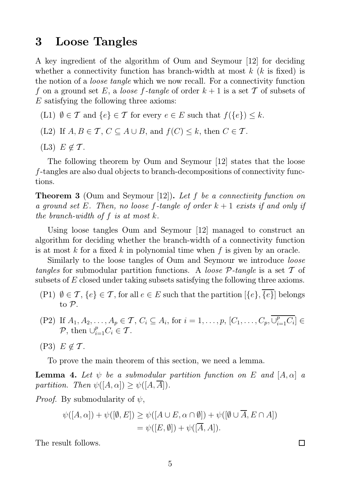#### 3 Loose Tangles

A key ingredient of the algorithm of Oum and Seymour [12] for deciding whether a connectivity function has branch-width at most  $k$  ( $k$  is fixed) is the notion of a loose tangle which we now recall. For a connectivity function f on a ground set E, a loose f-tangle of order  $k+1$  is a set T of subsets of E satisfying the following three axioms:

- (L1)  $\emptyset \in \mathcal{T}$  and  $\{e\} \in \mathcal{T}$  for every  $e \in E$  such that  $f(\{e\}) \leq k$ .
- (L2) If  $A, B \in \mathcal{T}$ ,  $C \subseteq A \cup B$ , and  $f(C) \leq k$ , then  $C \in \mathcal{T}$ .
- (L3)  $E \notin \mathcal{T}$ .

The following theorem by Oum and Seymour [12] states that the loose f-tangles are also dual objects to branch-decompositions of connectivity functions.

**Theorem 3** (Oum and Seymour [12]). Let f be a connectivity function on a ground set E. Then, no loose f-tangle of order  $k + 1$  exists if and only if the branch-width of  $f$  is at most  $k$ .

Using loose tangles Oum and Seymour [12] managed to construct an algorithm for deciding whether the branch-width of a connectivity function is at most k for a fixed k in polynomial time when f is given by an oracle.

Similarly to the loose tangles of Oum and Seymour we introduce loose tangles for submodular partition functions. A loose  $P$ -tangle is a set T of subsets of E closed under taking subsets satisfying the following three axioms.

- (P1)  $\emptyset \in \mathcal{T}, \{e\} \in \mathcal{T}$ , for all  $e \in E$  such that the partition  $[\{e\}, \overline{\{e\}}]$  belongs to P.
- (P2) If  $A_1, A_2, ..., A_p \in \mathcal{T}$ ,  $C_i \subseteq A_i$ , for  $i = 1, ..., p$ ,  $[C_1, ..., C_p, \overline{\cup_{i=1}^p C_i}] \in$ P, then  $\bigcup_{i=1}^p C_i \in \mathcal{T}$ .
- $(P3)$   $E \notin \mathcal{T}$ .

To prove the main theorem of this section, we need a lemma.

**Lemma 4.** Let  $\psi$  be a submodular partition function on E and  $[A, \alpha]$  a partition. Then  $\psi([A,\alpha]) \geq \psi([A,\overline{A}]).$ 

*Proof.* By submodularity of  $\psi$ ,

$$
\psi([A,\alpha]) + \psi([\emptyset, E]) \ge \psi([A \cup E, \alpha \cap \emptyset]) + \psi([\emptyset \cup \overline{A}, E \cap A])
$$
  
=  $\psi([E, \emptyset]) + \psi([\overline{A}, A]).$ 

 $\Box$ 

The result follows.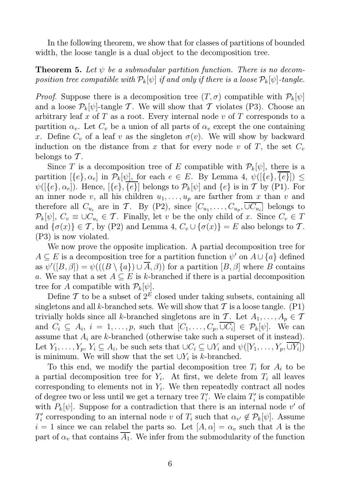In the following theorem, we show that for classes of partitions of bounded width, the loose tangle is a dual object to the decomposition tree.

**Theorem 5.** Let  $\psi$  be a submodular partition function. There is no decomposition tree compatible with  $\mathcal{P}_k[\psi]$  if and only if there is a loose  $\mathcal{P}_k[\psi]$ -tangle.

*Proof.* Suppose there is a decomposition tree  $(T, \sigma)$  compatible with  $\mathcal{P}_k[\psi]$ and a loose  $\mathcal{P}_k[\psi]$ -tangle T. We will show that T violates (P3). Choose an arbitrary leaf x of T as a root. Every internal node v of T corresponds to a partition  $\alpha_v$ . Let  $C_v$  be a union of all parts of  $\alpha_v$  except the one containing x. Define  $C_v$  of a leaf v as the singleton  $\sigma(v)$ . We will show by backward induction on the distance from x that for every node v of T, the set  $C_v$ belongs to  $\mathcal T$ .

Since T is a decomposition tree of E compatible with  $P_k[\psi]$ , there is a partition  $[\{e\}, \alpha_e]$  in  $\mathcal{P}_k[\psi]$ , for each  $e \in E$ . By Lemma 4,  $\psi([\{e\}, \{e\}]) \leq$  $\psi([{e}, \alpha_e])$ . Hence,  $[{e}, \overline{{e}}]$  belongs to  $\mathcal{P}_k[\psi]$  and  ${e}$  is in T by (P1). For an inner node v, all his children  $u_1, \ldots, u_p$  are farther from x than v and therefore all  $C_{u_i}$  are in T. By (P2), since  $[C_{u_1}, \ldots, C_{u_p}, \cup C_{u_i}]$  belongs to  $\mathcal{P}_k[\psi], C_v \equiv \cup C_{u_i} \in \mathcal{T}$ . Finally, let v be the only child of x. Since  $C_v \in \mathcal{T}$ and  $\{\sigma(x)\}\in\mathcal{T}$ , by (P2) and Lemma 4,  $C_v\cup\{\sigma(x)\}=E$  also belongs to  $\mathcal{T}$ . (P3) is now violated.

We now prove the opposite implication. A partial decomposition tree for  $A \subseteq E$  is a decomposition tree for a partition function  $\psi'$  on  $A \cup \{a\}$  defined as  $\psi'([B,\beta]) = \psi(((B \setminus \{a\}) \cup \overline{A}, \beta))$  for a partition  $[B,\beta]$  where B contains a. We say that a set  $A \subseteq E$  is k-branched if there is a partial decomposition tree for A compatible with  $\mathcal{P}_k[\psi]$ .

Define  $\mathcal T$  to be a subset of  $2^E$  closed under taking subsets, containing all singletons and all k-branched sets. We will show that  $T$  is a loose tangle. (P1) trivially holds since all k-branched singletons are in T. Let  $A_1, \ldots, A_p \in \mathcal{T}$ and  $C_i \subseteq A_i$ ,  $i = 1, \ldots, p$ , such that  $[C_1, \ldots, C_p, \cup C_i] \in \mathcal{P}_k[\psi]$ . We can assume that  $A_i$  are k-branched (otherwise take such a superset of it instead). Let  $Y_1, \ldots, Y_p, Y_i \subseteq A_i$ , be such sets that  $\cup C_i \subseteq \cup Y_i$  and  $\psi([Y_1, \ldots, Y_p, \cup Y_i])$ is minimum. We will show that the set  $\bigcup Y_i$  is k-branched.

To this end, we modify the partial decomposition tree  $T_i$  for  $A_i$  to be a partial decomposition tree for  $Y_i$ . At first, we delete from  $T_i$  all leaves corresponding to elements not in  $Y_i$ . We then repeatedly contract all nodes of degree two or less until we get a ternary tree  $T_i'$  $i'$ . We claim  $T_i'$  $i_i$  is compatible with  $P_k[\psi]$ . Suppose for a contradiction that there is an internal node v' of  $T_i'$ '' corresponding to an internal node v of  $T_i$  such that  $\alpha_{v'} \notin \mathcal{P}_k[\psi]$ . Assume  $i = 1$  since we can relabel the parts so. Let  $[A, \alpha] = \alpha_v$  such that A is the part of  $\alpha_v$  that contains  $\overline{A_1}$ . We infer from the submodularity of the function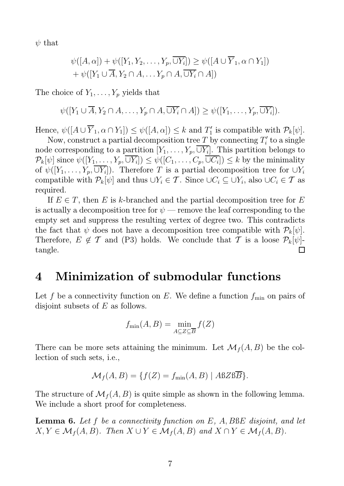$\psi$  that

$$
\psi([A,\alpha]) + \psi([Y_1, Y_2, \dots, Y_p, \overline{\cup Y_i}]) \ge \psi([A \cup \overline{Y}_1, \alpha \cap Y_1])
$$
  
+  $\psi([Y_1 \cup \overline{A}, Y_2 \cap A, \dots, Y_p \cap A, \overline{\cup Y_i} \cap A])$ 

The choice of  $Y_1, \ldots, Y_p$  yields that

$$
\psi([Y_1 \cup \overline{A}, Y_2 \cap A, \ldots, Y_p \cap A, \overline{\cup Y_i} \cap A]) \geq \psi([Y_1, \ldots, Y_p, \overline{\cup Y_i}]).
$$

Hence,  $\psi([A \cup \overline{Y}_1, \alpha \cap Y_1]) \leq \psi([A, \alpha]) \leq k$  and  $T'_1$  is compatible with  $\mathcal{P}_k[\psi]$ .

Now, construct a partial decomposition tree T by connecting  $T_i'$  $i'$  to a single node corresponding to a partition  $[Y_1, \ldots, Y_p, \cup Y_i]$ . This partition belongs to  $\mathcal{P}_k[\psi]$  since  $\psi([Y_1,\ldots,Y_p,\cup Y_i])\leq \psi([C_1,\ldots,C_p,\cup C_i])\leq k$  by the minimality of  $\psi([Y_1,\ldots,Y_p,\cup Y_i])$ . Therefore T is a partial decomposition tree for  $\cup Y_i$ compatible with  $\mathcal{P}_k[\psi]$  and thus  $\cup Y_i \in \mathcal{T}$ . Since  $\cup C_i \subseteq \cup Y_i$ , also  $\cup C_i \in \mathcal{T}$  as required.

If  $E \in T$ , then E is k-branched and the partial decomposition tree for E is actually a decomposition tree for  $\psi$  — remove the leaf corresponding to the empty set and suppress the resulting vertex of degree two. This contradicts the fact that  $\psi$  does not have a decomposition tree compatible with  $\mathcal{P}_k[\psi]$ . Therefore,  $E \notin \mathcal{T}$  and (P3) holds. We conclude that  $\mathcal{T}$  is a loose  $\mathcal{P}_k[\psi]$ - $\Box$ tangle.

### 4 Minimization of submodular functions

Let f be a connectivity function on E. We define a function  $f_{\min}$  on pairs of disjoint subsets of E as follows.

$$
f_{\min}(A, B) = \min_{A \subseteq Z \subseteq \overline{B}} f(Z)
$$

There can be more sets attaining the minimum. Let  $\mathcal{M}_f(A, B)$  be the collection of such sets, i.e.,

$$
\mathcal{M}_f(A, B) = \{ f(Z) = f_{\min}(A, B) \mid ABZB\overline{B} \}.
$$

The structure of  $\mathcal{M}_f(A, B)$  is quite simple as shown in the following lemma. We include a short proof for completeness.

**Lemma 6.** Let f be a connectivity function on  $E$ ,  $A$ ,  $B\&E$  disjoint, and let  $X, Y \in \mathcal{M}_f(A, B)$ . Then  $X \cup Y \in \mathcal{M}_f(A, B)$  and  $X \cap Y \in \mathcal{M}_f(A, B)$ .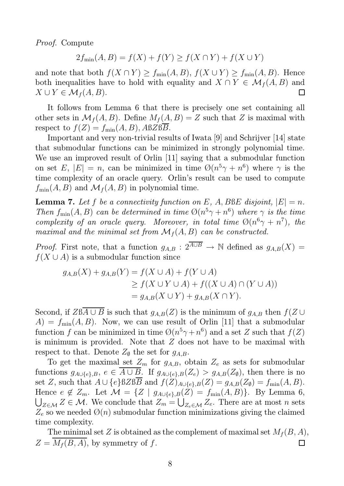Proof. Compute

$$
2f_{\min}(A, B) = f(X) + f(Y) \ge f(X \cap Y) + f(X \cup Y)
$$

and note that both  $f(X \cap Y) \ge f_{\min}(A, B), f(X \cup Y) \ge f_{\min}(A, B)$ . Hence both inequalities have to hold with equality and  $X \cap Y \in \mathcal{M}_f(A, B)$  and  $X \cup Y \in \mathcal{M}_f(A, B).$  $\Box$ 

It follows from Lemma 6 that there is precisely one set containing all other sets in  $\mathcal{M}_f(A, B)$ . Define  $M_f(A, B) = Z$  such that Z is maximal with respect to  $f(Z) = f_{min}(A, B), ABZBB$ .

Important and very non-trivial results of Iwata [9] and Schrijver [14] state that submodular functions can be minimized in strongly polynomial time. We use an improved result of Orlin [11] saying that a submodular function on set E,  $|E| = n$ , can be minimized in time  $\mathcal{O}(n^5\gamma + n^6)$  where  $\gamma$  is the time complexity of an oracle query. Orlin's result can be used to compute  $f_{\min}(A, B)$  and  $\mathcal{M}_f(A, B)$  in polynomial time.

**Lemma 7.** Let f be a connectivity function on E, A, BBE disjoint,  $|E| = n$ . Then  $f_{\min}(A, B)$  can be determined in time  $\mathcal{O}(n^5\gamma + n^6)$  where  $\gamma$  is the time complexity of an oracle query. Moreover, in total time  $\mathcal{O}(n^6\gamma + n^7)$ , the maximal and the minimal set from  $\mathcal{M}_f(A, B)$  can be constructed.

*Proof.* First note, that a function  $g_{A,B}: 2^{\overline{A\cup B}} \to \mathbb{N}$  defined as  $g_{A,B}(X) =$  $f(X \cup A)$  is a submodular function since

$$
g_{A,B}(X) + g_{A,B}(Y) = f(X \cup A) + f(Y \cup A)
$$
  
\n
$$
\ge f(X \cup Y \cup A) + f((X \cup A) \cap (Y \cup A))
$$
  
\n
$$
= g_{A,B}(X \cup Y) + g_{A,B}(X \cap Y).
$$

Second, if  $ZB\overline{A\cup B}$  is such that  $g_{A,B}(Z)$  is the minimum of  $g_{A,B}$  then  $f(Z\cup B)$  $A) = f_{\text{min}}(A, B)$ . Now, we can use result of Orlin [11] that a submodular function f can be minimized in time  $\mathcal{O}(n^5\gamma + n^6)$  and a set Z such that  $f(Z)$ is minimum is provided. Note that Z does not have to be maximal with respect to that. Denote  $Z_{\emptyset}$  the set for  $g_{A,B}$ .

To get the maximal set  $Z_m$  for  $g_{A,B}$ , obtain  $Z_e$  as sets for submodular functions  $g_{A\cup\{e\},B}, e \in \overline{A\cup B}$ . If  $g_{A\cup\{e\},B}(Z_e) > g_{A,B}(Z_{\emptyset})$ , then there is no set Z, such that  $A \cup \{e\} BZ$  $B\overline{B}$  and  $f(Z)_{A \cup \{e\},B}(Z) = g_{A,B}(Z_{\emptyset}) = f_{\min}(A, B).$ Hence  $e \notin Z_m$ . Let  $\mathcal{M} = \{Z \mid g_{A \cup \{e\},B}(Z) = f_{\min}(A, B)\}.$  By Lemma 6,  $\bigcup_{Z \in \mathcal{M}} Z \in \mathcal{M}$ . We conclude that  $Z_m = \bigcup_{Z_e \in \mathcal{M}} Z_e$ . There are at most n sets  $Z_e$  so we needed  $\mathcal{O}(n)$  submodular function minimizations giving the claimed time complexity.

The minimal set Z is obtained as the complement of maximal set  $M_f(B, A)$ ,  $Z = \overline{M_f(B,A)}$ , by symmetry of f. П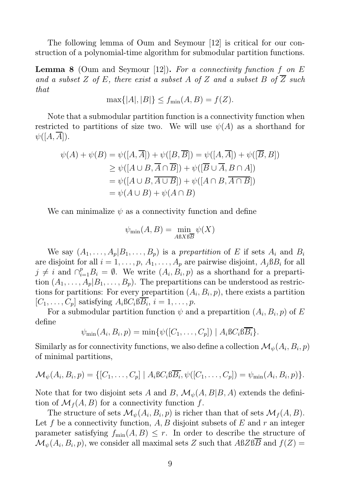The following lemma of Oum and Seymour [12] is critical for our construction of a polynomial-time algorithm for submodular partition functions.

**Lemma 8** (Oum and Seymour [12]). For a connectivity function f on E and a subset Z of E, there exist a subset A of Z and a subset B of  $\overline{Z}$  such that

$$
\max\{|A|, |B|\} \le f_{\min}(A, B) = f(Z).
$$

Note that a submodular partition function is a connectivity function when restricted to partitions of size two. We will use  $\psi(A)$  as a shorthand for  $\psi([A,\overline{A}]).$ 

$$
\psi(A) + \psi(B) = \psi([A, \overline{A}]) + \psi([B, \overline{B}]) = \psi([A, \overline{A}]) + \psi([\overline{B}, B])
$$
  
\n
$$
\geq \psi([A \cup B, \overline{A} \cap \overline{B}]) + \psi([\overline{B} \cup \overline{A}, B \cap A])
$$
  
\n
$$
= \psi([A \cup B, \overline{A \cup B}]) + \psi([A \cap B, \overline{A \cap B}])
$$
  
\n
$$
= \psi(A \cup B) + \psi(A \cap B)
$$

We can minimalize  $\psi$  as a connectivity function and define

$$
\psi_{\min}(A, B) = \min_{A B X B \overline{B}} \psi(X)
$$

We say  $(A_1, \ldots, A_p | B_1, \ldots, B_p)$  is a prepartition of E if sets  $A_i$  and  $B_i$ are disjoint for all  $i = 1, \ldots, p, A_1, \ldots, A_p$  are pairwise disjoint,  $A_j \beta B_i$  for all  $j \neq i$  and  $\bigcap_{i=1}^p B_i = \emptyset$ . We write  $(A_i, B_i, p)$  as a shorthand for a prepartition  $(A_1, \ldots, A_p | B_1, \ldots, B_p)$ . The prepartitions can be understood as restrictions for partitions: For every prepartition  $(A_i, B_i, p)$ , there exists a partition  $[C_1, \ldots, C_p]$  satisfying  $A_i B C_i B B_i$ ,  $i = 1, \ldots, p$ .

For a submodular partition function  $\psi$  and a prepartition  $(A_i, B_i, p)$  of E define

$$
\psi_{\min}(A_i, B_i, p) = \min \{ \psi([C_1, \ldots, C_p]) \mid A_i \mathbb{B} C_i \mathbb{B} \overline{B_i} \}.
$$

Similarly as for connectivity functions, we also define a collection  $\mathcal{M}_{\psi}(A_i, B_i, p)$ of minimal partitions,

$$
\mathcal{M}_{\psi}(A_i, B_i, p) = \{ [C_1, \ldots, C_p] \mid A_i \mathbb{B} C_i \mathbb{B} \overline{B_i}, \psi([C_1, \ldots, C_p]) = \psi_{\min}(A_i, B_i, p) \}.
$$

Note that for two disjoint sets A and B,  $\mathcal{M}_{\psi}(A, B|B, A)$  extends the definition of  $\mathcal{M}_f(A, B)$  for a connectivity function f.

The structure of sets  $\mathcal{M}_{\psi}(A_i, B_i, p)$  is richer than that of sets  $\mathcal{M}_f(A, B)$ . Let f be a connectivity function,  $A, B$  disjoint subsets of E and r an integer parameter satisfying  $f_{\min}(A, B) \leq r$ . In order to describe the structure of  $\mathcal{M}_{\psi}(A_i, B_i, p)$ , we consider all maximal sets Z such that  $ABZBB$  and  $f(Z) =$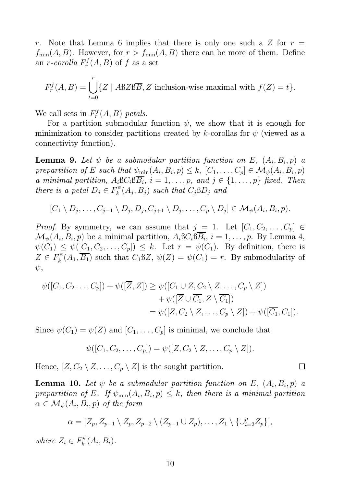r. Note that Lemma 6 implies that there is only one such a Z for  $r =$  $f_{\min}(A, B)$ . However, for  $r > f_{\min}(A, B)$  there can be more of them. Define an *r*-corolla  $F_r^f$  $f_r^f(A, B)$  of f as a set

$$
F_r^f(A, B) = \bigcup_{t=0}^r \{Z \mid A \& Z \& B \overline{B}, Z \text{ inclusion-wise maximal with } f(Z) = t\}.
$$

We call sets in  $F_r^f$  $F_r^f(A, B)$  petals.

For a partition submodular function  $\psi$ , we show that it is enough for minimization to consider partitions created by k-corollas for  $\psi$  (viewed as a connectivity function).

**Lemma 9.** Let  $\psi$  be a submodular partition function on E,  $(A_i, B_i, p)$  a prepartition of E such that  $\psi_{\min}(A_i, B_i, p) \leq k$ ,  $[C_1, \ldots, C_p] \in \mathcal{M}_{\psi}(A_i, B_i, p)$ a minimal partition,  $A_i \mathcal{B} C_i \mathcal{B} B_i$ ,  $i = 1, \ldots, p$ , and  $j \in \{1, \ldots, p\}$  fixed. Then there is a petal  $D_j \in F_k^{\psi}$  $\mathcal{C}_{k}^{w}(A_{j},B_{j})$  such that  $C_{j} \mathbb{S} D_{j}$  and

$$
[C_1 \setminus D_j, \ldots, C_{j-1} \setminus D_j, D_j, C_{j+1} \setminus D_j, \ldots, C_p \setminus D_j] \in \mathcal{M}_{\psi}(A_i, B_i, p).
$$

*Proof.* By symmetry, we can assume that  $j = 1$ . Let  $[C_1, C_2, \ldots, C_p] \in$  $\mathcal{M}_{\psi}(A_i, B_i, p)$  be a minimal partition,  $A_i \mathcal{B} C_i \mathcal{B} B_i$ ,  $i = 1, \ldots, p$ . By Lemma 4,  $\psi(C_1) \leq \psi([C_1, C_2, \ldots, C_p]) \leq k$ . Let  $r = \psi(C_1)$ . By definition, there is  $Z \in F_k^{\psi}$  $k_k^{\psi}(A_1, B_1)$  such that  $C_1 \mathcal{B}Z$ ,  $\psi(Z) = \psi(C_1) = r$ . By submodularity of  $\psi$ ,

$$
\psi([C_1, C_2..., C_p]) + \psi([\overline{Z}, Z]) \geq \psi([C_1 \cup Z, C_2 \setminus Z, ..., C_p \setminus Z]) \n+ \psi([\overline{Z} \cup \overline{C_1}, Z \setminus \overline{C_1}]) \n= \psi([Z, C_2 \setminus Z, ..., C_p \setminus Z]) + \psi([\overline{C_1}, C_1]).
$$

Since  $\psi(C_1) = \psi(Z)$  and  $[C_1, \ldots, C_p]$  is minimal, we conclude that

$$
\psi([C_1, C_2, \ldots, C_p]) = \psi([Z, C_2 \setminus Z, \ldots, C_p \setminus Z]).
$$

Hence,  $[Z, C_2 \setminus Z, \ldots, C_p \setminus Z]$  is the sought partition.

**Lemma 10.** Let  $\psi$  be a submodular partition function on E,  $(A_i, B_i, p)$  a prepartition of E. If  $\psi_{\min}(A_i, B_i, p) \leq k$ , then there is a minimal partition  $\alpha \in \mathcal{M}_{\psi}(A_i,B_i,p)$  of the form

$$
\alpha = [Z_p, Z_{p-1} \setminus Z_p, Z_{p-2} \setminus (Z_{p-1} \cup Z_p), \ldots, Z_1 \setminus \{\cup_{i=2}^p Z_p\}],
$$

where  $Z_i \in F_k^{\psi}$  $\chi_k^{\psi}(A_i,B_i).$   $\Box$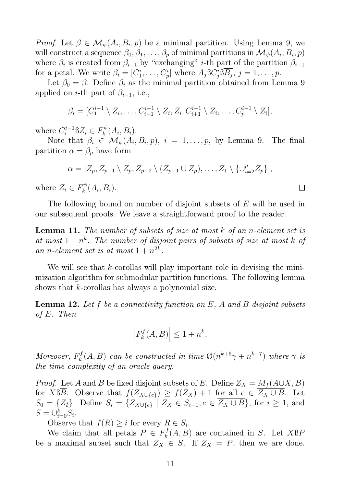*Proof.* Let  $\beta \in \mathcal{M}_{\psi}(A_i, B_i, p)$  be a minimal partition. Using Lemma 9, we will construct a sequence  $\beta_0, \beta_1, \ldots, \beta_p$  of minimal partitions in  $\mathcal{M}_{\psi}(A_i, B_i, p)$ where  $\beta_i$  is created from  $\beta_{i-1}$  by "exchanging" *i*-th part of the partition  $\beta_{i-1}$ for a petal. We write  $\beta_i = [C_1^i, \ldots, C_p^i]$  where  $A_j$ B $C_j^i$  $j<sup>i</sup>$ <sub>j</sub> $B$ <sub>j</sub>,  $j = 1, \ldots, p$ .

Let  $\beta_0 = \beta$ . Define  $\beta_i$  as the minimal partition obtained from Lemma 9 applied on *i*-th part of  $\beta_{i-1}$ , i.e.,

$$
\beta_i=[C_1^{i-1}\setminus Z_i,\ldots,C_{i-1}^{i-1}\setminus Z_i,Z_i,C_{i+1}^{i-1}\setminus Z_i,\ldots,C_p^{i-1}\setminus Z_i],
$$

where  $C_i^{i-1}$  $a_i^{i-1}BZ_i \in F_k^{\psi}$  $\chi_k^{\psi}(A_i,B_i).$ 

Note that  $\beta_i \in \mathcal{M}_{\psi}(A_i, B_i, p), i = 1, \ldots, p$ , by Lemma 9. The final partition  $\alpha = \beta_p$  have form

$$
\alpha = [Z_p, Z_{p-1} \setminus Z_p, Z_{p-2} \setminus (Z_{p-1} \cup Z_p), \dots, Z_1 \setminus \{\cup_{i=2}^p Z_p\}],
$$

where  $Z_i \in F_k^{\psi}$  $\chi_k^{\psi}(A_i,B_i).$ 

The following bound on number of disjoint subsets of E will be used in our subsequent proofs. We leave a straightforward proof to the reader.

Lemma 11. The number of subsets of size at most k of an n-element set is at most  $1 + n^k$ . The number of disjoint pairs of subsets of size at most k of an n-element set is at most  $1 + n^{2k}$ .

We will see that  $k$ -corollas will play important role in devising the minimization algorithm for submodular partition functions. The following lemma shows that k-corollas has always a polynomial size.

**Lemma 12.** Let f be a connectivity function on  $E$ , A and B disjoint subsets of E. Then

$$
\left| F_k^f(A, B) \right| \le 1 + n^k,
$$

Moreover,  $F_k^f$  $\mathcal{R}_k^{f}(A, B)$  can be constructed in time  $\mathcal{O}(n^{k+6}\gamma + n^{k+7})$  where  $\gamma$  is the time complexity of an oracle query.

*Proof.* Let A and B be fixed disjoint subsets of E. Define  $Z_X = M_f(A \cup X, B)$ for X $\beta \overline{B}$ . Observe that  $f(Z_{X\cup \{e\}}) \geq f(Z_X) + 1$  for all  $e \in \overline{Z_X \cup B}$ . Let  $S_0 = \{Z_0\}$ . Define  $S_i = \{Z_{X\cup \{e\}} \mid Z_X \in S_{i-1}, e \in \overline{Z_X \cup B}\}$ , for  $i \geq 1$ , and  $S=\cup_{i=0}^k S_i.$ 

Observe that  $f(R) \geq i$  for every  $R \in S_i$ .

We claim that all petals  $P \in F_k^f$  $k<sup>J</sup>(A, B)$  are contained in S. Let XBP be a maximal subset such that  $Z_X \in S$ . If  $Z_X = P$ , then we are done.

 $\Box$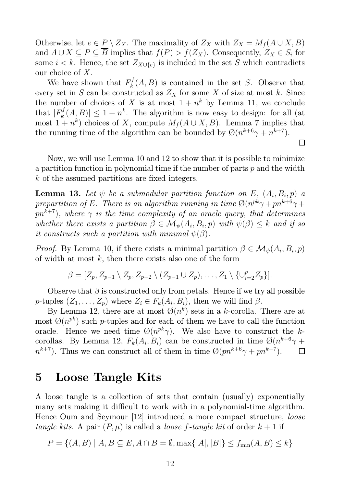Otherwise, let  $e \in P \setminus Z_X$ . The maximality of  $Z_X$  with  $Z_X = M_f(A \cup X, B)$ and  $A \cup X \subseteq P \subseteq B$  implies that  $f(P) > f(Z_X)$ . Consequently,  $Z_X \in S_i$  for some  $i < k$ . Hence, the set  $Z_{X \cup \{e\}}$  is included in the set S which contradicts our choice of X.

We have shown that  $F_k^f$  $_{k}^{\prime J}(A, B)$  is contained in the set S. Observe that every set in S can be constructed as  $Z_X$  for some X of size at most k. Since the number of choices of X is at most  $1 + n^k$  by Lemma 11, we conclude that  $|F_k^f$  $|h_k^{f}(A, B)| \leq 1 + n^k$ . The algorithm is now easy to design: for all (at most  $1 + n^k$ ) choices of X, compute  $M_f(A \cup X, B)$ . Lemma 7 implies that the running time of the algorithm can be bounded by  $\mathcal{O}(n^{k+6}\gamma + n^{k+7})$ .

Now, we will use Lemma 10 and 12 to show that it is possible to minimize a partition function in polynomial time if the number of parts  $p$  and the width k of the assumed partitions are fixed integers.

 $\Box$ 

**Lemma 13.** Let  $\psi$  be a submodular partition function on E,  $(A_i, B_i, p)$  a prepartition of E. There is an algorithm running in time  $\mathcal{O}(n^{pk}\gamma + pn^{k+6}\gamma +$  $pn^{k+7}$ , where  $\gamma$  is the time complexity of an oracle query, that determines whether there exists a partition  $\beta \in \mathcal{M}_{\psi}(A_i, B_i, p)$  with  $\psi(\beta) \leq k$  and if so it constructs such a partition with minimal  $\psi(\beta)$ .

*Proof.* By Lemma 10, if there exists a minimal partition  $\beta \in \mathcal{M}_{\psi}(A_i, B_i, p)$ of width at most  $k$ , then there exists also one of the form

$$
\beta = [Z_p, Z_{p-1} \setminus Z_p, Z_{p-2} \setminus (Z_{p-1} \cup Z_p), \ldots, Z_1 \setminus \{\cup_{i=2}^p Z_p\}].
$$

Observe that  $\beta$  is constructed only from petals. Hence if we try all possible p-tuples  $(Z_1, \ldots, Z_p)$  where  $Z_i \in F_k(A_i, B_i)$ , then we will find  $\beta$ .

By Lemma 12, there are at most  $\mathcal{O}(n^k)$  sets in a k-corolla. There are at most  $\mathcal{O}(n^{pk})$  such p-tuples and for each of them we have to call the function oracle. Hence we need time  $\mathcal{O}(n^{pk}\gamma)$ . We also have to construct the kcorollas. By Lemma 12,  $F_k(A_i, B_i)$  can be constructed in time  $\mathcal{O}(n^{k+6}\gamma +$  $n^{k+7}$ ). Thus we can construct all of them in time  $\mathcal{O}(pn^{k+6}\gamma + pn^{k+7})$ .  $\Box$ 

#### 5 Loose Tangle Kits

A loose tangle is a collection of sets that contain (usually) exponentially many sets making it difficult to work with in a polynomial-time algorithm. Hence Oum and Seymour [12] introduced a more compact structure, loose tangle kits. A pair  $(P, \mu)$  is called a *loose f*-tangle kit of order  $k + 1$  if

$$
P = \{(A, B) \mid A, B \subseteq E, A \cap B = \emptyset, \max\{|A|, |B|\} \le f_{\min}(A, B) \le k\}
$$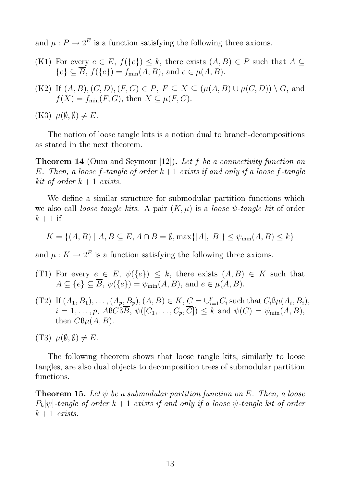and  $\mu : P \to 2^E$  is a function satisfying the following three axioms.

- (K1) For every  $e \in E$ ,  $f(\lbrace e \rbrace) \leq k$ , there exists  $(A, B) \in P$  such that  $A \subseteq$  ${e} \subseteq \overline{B}$ ,  $f({e}) = f_{min}(A, B)$ , and  $e \in \mu(A, B)$ .
- (K2) If  $(A, B), (C, D), (F, G) \in P$ ,  $F \subseteq X \subseteq (\mu(A, B) \cup \mu(C, D)) \setminus G$ , and  $f(X) = f_{\min}(F, G)$ , then  $X \subseteq \mu(F, G)$ .
- $(K3)$   $\mu(\emptyset, \emptyset) \neq E$ .

The notion of loose tangle kits is a notion dual to branch-decompositions as stated in the next theorem.

Theorem 14 (Oum and Seymour [12]). Let f be a connectivity function on E. Then, a loose f-tangle of order  $k+1$  exists if and only if a loose f-tangle kit of order  $k+1$  exists.

We define a similar structure for submodular partition functions which we also call *loose tangle kits*. A pair  $(K, \mu)$  is a *loose*  $\psi$ *-tangle kit* of order  $k+1$  if

$$
K = \{(A, B) \mid A, B \subseteq E, A \cap B = \emptyset, \max\{|A|, |B|\} \le \psi_{\min}(A, B) \le k\}
$$

and  $\mu: K \to 2^E$  is a function satisfying the following three axioms.

- (T1) For every  $e \in E$ ,  $\psi({e}) \leq k$ , there exists  $(A, B) \in K$  such that  $A \subseteq \{e\} \subseteq \overline{B}$ ,  $\psi(\{e\}) = \psi_{\min}(A, B)$ , and  $e \in \mu(A, B)$ .
- (T2) If  $(A_1, B_1), \ldots, (A_p, B_p), (A, B) \in K$ ,  $\underline{C} = \bigcup_{i=1}^p C_i$  such that  $C_i \mathcal{B} \mu(A_i, B_i)$ ,  $i = 1, \ldots, p$ ,  $\widehat{ABCBB}, \psi([C_1, \ldots, C_p, \overline{C}]) \leq k$  and  $\psi(C) = \psi_{\min}(A, B)$ , then  $CB\mu(A, B)$ .

(T3)  $\mu(\emptyset, \emptyset) \neq E$ .

The following theorem shows that loose tangle kits, similarly to loose tangles, are also dual objects to decomposition trees of submodular partition functions.

**Theorem 15.** Let  $\psi$  be a submodular partition function on E. Then, a loose  $P_k[\psi]$ -tangle of order  $k+1$  exists if and only if a loose  $\psi$ -tangle kit of order  $k+1$  exists.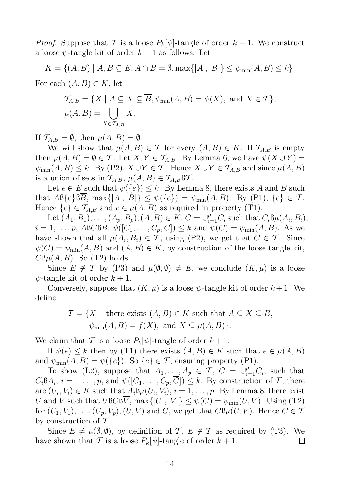*Proof.* Suppose that T is a loose  $P_k[\psi]$ -tangle of order  $k + 1$ . We construct a loose  $\psi$ -tangle kit of order  $k+1$  as follows. Let

 $K = \{(A, B) | A, B \subseteq E, A \cap B = \emptyset, \max\{|A|, |B|\} \leq \psi_{\min}(A, B) \leq k\}.$ For each  $(A, B) \in K$ , let

$$
\mathcal{T}_{A,B} = \{ X \mid A \subseteq X \subseteq \overline{B}, \psi_{\min}(A,B) = \psi(X), \text{ and } X \in \mathcal{T} \},
$$
  

$$
\mu(A,B) = \bigcup_{X \in \mathcal{T}_{A,B}} X.
$$

If  $\mathcal{T}_{A,B} = \emptyset$ , then  $\mu(A, B) = \emptyset$ .

We will show that  $\mu(A, B) \in \mathcal{T}$  for every  $(A, B) \in K$ . If  $\mathcal{T}_{A,B}$  is empty then  $\mu(A, B) = \emptyset \in \mathcal{T}$ . Let  $X, Y \in \mathcal{T}_{A, B}$ . By Lemma 6, we have  $\psi(X \cup Y) =$  $\psi_{\min}(A, B) \leq k$ . By (P2),  $X \cup Y \in \mathcal{T}$ . Hence  $X \cup Y \in \mathcal{T}_{A,B}$  and since  $\mu(A, B)$ is a union of sets in  $\mathcal{T}_{A,B}, \mu(A, B) \in \mathcal{T}_{A,B} \mathcal{B} \mathcal{T}$ .

Let  $e \in E$  such that  $\psi({e}) \leq k$ . By Lemma 8, there exists A and B such that  $\mathcal{AB}\{e\} \mathcal{B}\overline{B}$ ,  $\max\{|A|, |B|\} \leq \psi(\{e\}) = \psi_{\min}(A, B)$ . By (P1),  $\{e\} \in \mathcal{T}$ . Hence  $\{e\} \in \mathcal{T}_{A,B}$  and  $e \in \mu(A,B)$  as required in property (T1).

Let  $(A_1, B_1), \ldots, (A_p, B_p), (A, B) \in K$ ,  $C = \bigcup_{i=1}^p C_i$  such that  $C_i \mathcal{B} \mu(A_i, B_i)$ ,  $i = 1, \ldots, p$ , ABCB $\overline{B}$ ,  $\psi([C_1, \ldots, C_p, \overline{C}]) \leq k$  and  $\psi(C) = \psi_{\min}(A, B)$ . As we have shown that all  $\mu(A_i, B_i) \in \mathcal{T}$ , using (P2), we get that  $C \in \mathcal{T}$ . Since  $\psi(C) = \psi_{\min}(A, B)$  and  $(A, B) \in K$ , by construction of the loose tangle kit,  $CB\mu(A, B)$ . So (T2) holds.

Since  $E \notin \mathcal{T}$  by (P3) and  $\mu(\emptyset, \emptyset) \neq E$ , we conclude  $(K, \mu)$  is a loose  $\psi$ -tangle kit of order  $k+1$ .

Conversely, suppose that  $(K, \mu)$  is a loose  $\psi$ -tangle kit of order  $k+1$ . We define

$$
\mathcal{T} = \{ X \mid \text{ there exists } (A, B) \in K \text{ such that } A \subseteq X \subseteq B,
$$
  

$$
\psi_{\min}(A, B) = f(X), \text{ and } X \subseteq \mu(A, B) \}.
$$

We claim that T is a loose  $P_k[\psi]$ -tangle of order  $k+1$ .

If  $\psi(e) \leq k$  then by (T1) there exists  $(A, B) \in K$  such that  $e \in \mu(A, B)$ and  $\psi_{\text{min}}(A, B) = \psi({e})$ . So  ${e} \in \mathcal{T}$ , ensuring property (P1).

To show (L2), suppose that  $A_1, \ldots, A_p \in \mathcal{T}, C = \bigcup_{i=1}^p C_i$ , such that  $C_i \mathbb{S} A_i$ ,  $i = 1, \ldots, p$ , and  $\psi([C_1, \ldots, C_p, C]) \leq k$ . By construction of T, there are  $(U_i, V_i) \in K$  such that  $A_i \mathcal{B} \mu(U_i, V_i), i = 1, \ldots, p$ . By Lemma 8, there exist U and V such that  $UBCB\overline{V}$ ,  $\max\{|U|, |V|\} \leq \psi(C) = \psi_{\min}(U, V)$ . Using (T2) for  $(U_1, V_1), \ldots, (U_p, V_p), (U, V)$  and C, we get that  $C\mathcal{B}\mu(U, V)$ . Hence  $C \in \mathcal{T}$ by construction of  $\mathcal T$ .

Since  $E \neq \mu(\emptyset, \emptyset)$ , by definition of T,  $E \notin \mathcal{T}$  as required by (T3). We have shown that T is a loose  $P_k[\psi]$ -tangle of order  $k+1$ .  $\Box$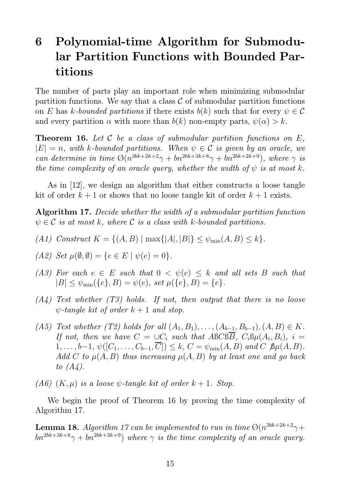## 6 Polynomial-time Algorithm for Submodular Partition Functions with Bounded Partitions

The number of parts play an important role when minimizing submodular partition functions. We say that a class  $\mathcal C$  of submodular partition functions on E has k-bounded partitions if there exists  $b(k)$  such that for every  $\psi \in \mathcal{C}$ and every partition  $\alpha$  with more than  $b(k)$  non-empty parts,  $\psi(\alpha) > k$ .

**Theorem 16.** Let C be a class of submodular partition functions on  $E$ ,  $|E| = n$ , with k-bounded partitions. When  $\psi \in \mathcal{C}$  is given by an oracle, we can determine in time  $\mathcal{O}(n^{3bk+2k+2}\gamma + bn^{2bk+3k+8}\gamma + bn^{2bk+2k+9}),$  where  $\gamma$  is the time complexity of an oracle query, whether the width of  $\psi$  is at most k.

As in [12], we design an algorithm that either constructs a loose tangle kit of order  $k + 1$  or shows that no loose tangle kit of order  $k + 1$  exists.

Algorithm 17. Decide whether the width of a submodular partition function  $\psi \in \mathcal{C}$  is at most k, where  $\mathcal{C}$  is a class with k-bounded partitions.

- (A1) Construct  $K = \{(A, B) | \max\{|A|, |B|\} \leq \psi_{\min}(A, B) \leq k\}.$
- (A2) Set  $\mu(\emptyset, \emptyset) = \{e \in E \mid \psi(e) = 0\}.$
- (A3) For each  $e \in E$  such that  $0 < \psi(e) \leq k$  and all sets B such that  $|B| \leq \psi_{\min}(\{e\}, B) = \psi(e), \text{ set } \mu(\{e\}, B) = \{e\}.$
- $(A_4)$  Test whether  $(T3)$  holds. If not, then output that there is no loose  $\psi$ -tangle kit of order  $k+1$  and stop.
- (A5) Test whether (T2) holds for all  $(A_1, B_1), \ldots, (A_{b-1}, B_{b-1}), (A, B) \in K$ . If not, then we have  $C = \bigcup C_i$  such that ABCBB,  $C_i$ B $\mu(A_i, B_i)$ ,  $i =$  $1, \ldots, b-1, \psi([C_1, \ldots, C_{b-1}, \overline{C}]) \leq k, C = \psi_{\min}(A, B) \text{ and } C \text{ } \mathfrak{B} \mu(A, B).$ Add C to  $\mu(A, B)$  thus increasing  $\mu(A, B)$  by at least one and go back to  $(A_4)$ .
- (A6)  $(K, \mu)$  is a loose  $\psi$ -tangle kit of order  $k + 1$ . Stop.

We begin the proof of Theorem 16 by proving the time complexity of Algorithm 17.

**Lemma 18.** Algorithm 17 can be implemented to run in time  $\mathcal{O}(n^{3bk+2k+2}\gamma +$  $bn^{2bk+3k+8}\gamma + bn^{2bk+3k+9})$  where  $\gamma$  is the time complexity of an oracle query.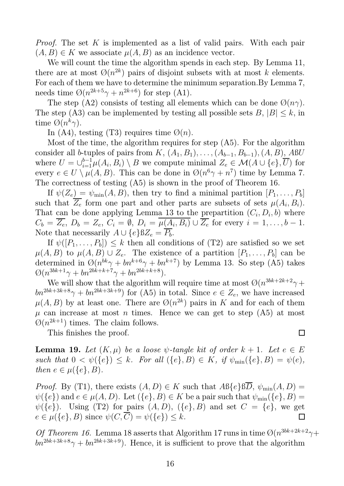Proof. The set K is implemented as a list of valid pairs. With each pair  $(A, B) \in K$  we associate  $\mu(A, B)$  as an incidence vector.

We will count the time the algorithm spends in each step. By Lemma 11, there are at most  $\mathcal{O}(n^{2k})$  pairs of disjoint subsets with at most k elements. For each of them we have to determine the minimum separation.By Lemma 7, needs time  $\mathcal{O}(n^{2k+5}\gamma + n^{2k+6})$  for step (A1).

The step (A2) consists of testing all elements which can be done  $\mathcal{O}(n\gamma)$ . The step (A3) can be implemented by testing all possible sets  $B, |B| \leq k$ , in time  $\mathcal{O}(n^k \gamma)$ .

In (A4), testing (T3) requires time  $\mathcal{O}(n)$ .

Most of the time, the algorithm requires for step (A5). For the algorithm consider all b-tuples of pairs from  $K$ ,  $(A_1, B_1)$ , ...,  $(A_{b-1}, B_{b-1})$ ,  $(A, B)$ ,  $ABU$ where  $U = \bigcup_{i=1}^{b-1} \mu(A_i, B_i) \setminus B$  we compute minimal  $Z_e \in \mathcal{M}(A \cup \{e\}, \overline{U})$  for every  $e \in U \setminus \mu(A, B)$ . This can be done in  $\mathcal{O}(n^6 \gamma + n^7)$  time by Lemma 7. The correctness of testing (A5) is shown in the proof of Theorem 16.

If  $\psi(Z_e) = \psi_{\min}(A, B)$ , then try to find a minimal partition  $[P_1, \ldots, P_b]$ such that  $Z_e$  form one part and other parts are subsets of sets  $\mu(A_i, B_i)$ . That can be done applying Lemma 13 to the prepartition  $(C_i, D_i, b)$  where  $C_b = Z_e, D_b = Z_e, C_i = \emptyset, D_i = \mu(A_i, B_i) \cup Z_e$  for every  $i = 1, ..., b - 1$ . Note that necessarily  $A \cup \{e\} \mathbb{B}Z_e = \overline{P_b}$ .

If  $\psi([P_1,\ldots,P_b]) \leq k$  then all conditions of (T2) are satisfied so we set  $\mu(A, B)$  to  $\mu(A, B) \cup Z_e$ . The existence of a partition  $[P_1, \ldots, P_b]$  can be determined in  $\mathcal{O}(n^{bk}\gamma + bn^{k+6}\gamma + bn^{k+7})$  by Lemma 13. So step (A5) takes  $\emptyset(n^{3bk+1}\gamma + bn^{2bk+k+7}\gamma + bn^{2bk+k+8}).$ 

We will show that the algorithm will require time at most  $\mathcal{O}(n^{3bk+2k+2}\gamma +$  $bn^{2bk+3k+8}\gamma + bn^{2bk+3k+9}$  for (A5) in total. Since  $e \in Z_e$ , we have increased  $\mu(A, B)$  by at least one. There are  $\mathcal{O}(n^{2k})$  pairs in K and for each of them  $\mu$  can increase at most *n* times. Hence we can get to step (A5) at most  $\mathcal{O}(n^{2k+1})$  times. The claim follows.

This finishes the proof.

**Lemma 19.** Let  $(K, \mu)$  be a loose  $\psi$ -tangle kit of order  $k + 1$ . Let  $e \in E$ such that  $0 < \psi(\{e\}) \leq k$ . For all  $(\{e\}, B) \in K$ , if  $\psi_{\min}(\{e\}, B) = \psi(e)$ , then  $e \in \mu(\{e\}, B)$ .

*Proof.* By (T1), there exists  $(A, D) \in K$  such that  $AB\{e\}BD$ ,  $\psi_{\min}(A, D) =$  $\psi({e})$  and  $e \in \mu(A, D)$ . Let  $({e}, B) \in K$  be a pair such that  $\psi_{\min}({e}, B) =$  $\psi({e})$ . Using (T2) for pairs  $(A, D)$ ,  $({e}, B)$  and set  $C = {e}$ , we get  $e \in \mu({e}, B)$  since  $\psi(C, \overline{C}) = \psi({e}) \leq k$ .  $\Box$ 

Of Theorem 16. Lemma 18 asserts that Algorithm 17 runs in time  $\mathcal{O}(n^{3bk+2k+2}\gamma +$  $\omega_{bn}^{2bk+3k+8}\gamma + bn^{2bk+3k+9}$ . Hence, it is sufficient to prove that the algorithm

 $\Box$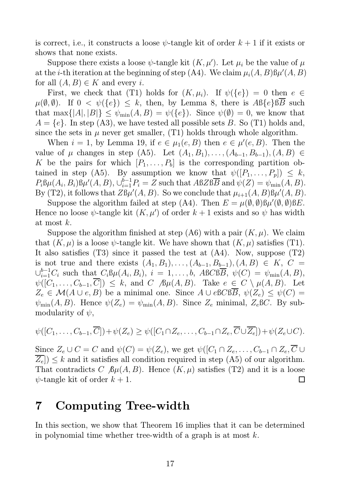is correct, i.e., it constructs a loose  $\psi$ -tangle kit of order  $k+1$  if it exists or shows that none exists.

Suppose there exists a loose  $\psi$ -tangle kit  $(K, \mu')$ . Let  $\mu_i$  be the value of  $\mu$ at the *i*-th iteration at the beginning of step (A4). We claim  $\mu_i(A, B) \mathfrak{h} \mu'(A, B)$ for all  $(A, B) \in K$  and every *i*.

First, we check that (T1) holds for  $(K, \mu_i)$ . If  $\psi({e}) = 0$  then  $e \in$  $\mu(\emptyset, \emptyset)$ . If  $0 < \psi(\{e\}) \leq k$ , then, by Lemma 8, there is  $\mathcal{AB}\{e\} \mathcal{B}\overline{B}$  such that max $\{|A|, |B|\} \leq \psi_{\min}(A, B) = \psi(\{e\})$ . Since  $\psi(\emptyset) = 0$ , we know that  $A = \{e\}$ . In step (A3), we have tested all possible sets B. So (T1) holds and, since the sets in  $\mu$  never get smaller, (T1) holds through whole algorithm.

When  $i = 1$ , by Lemma 19, if  $e \in \mu_1(e, B)$  then  $e \in \mu'(e, B)$ . Then the value of  $\mu$  changes in step (A5). Let  $(A_1, B_1), ..., (A_{b-1}, B_{b-1}), (A, B)$  ∈ K be the pairs for which  $[P_1, \ldots, P_b]$  is the corresponding partition obtained in step (A5). By assumption we know that  $\psi([P_1, \ldots, P_n]) \leq k$ ,  $P_i \mathcal{B} \mu(A_i, B_i) \mathcal{B} \mu'(A, B), \bigcup_{i=1}^{b-1} P_i = Z$  such that  $ABZB\overline{B}$  and  $\psi(Z) = \psi_{\min}(A, B)$ . By (T2), it follows that  $Z\mathfrak{B}\mu'(A, B)$ . So we conclude that  $\mu_{i+1}(A, B)\mathfrak{B}\mu'(A, B)$ .

Suppose the algorithm failed at step (A4). Then  $E = \mu(\emptyset, \emptyset) \mathcal{B} \mu'(\emptyset, \emptyset) \mathcal{B} E$ . Hence no loose  $\psi$ -tangle kit  $(K, \mu')$  of order  $k + 1$  exists and so  $\psi$  has width at most k.

Suppose the algorithm finished at step  $(A6)$  with a pair  $(K, \mu)$ . We claim that  $(K, \mu)$  is a loose  $\psi$ -tangle kit. We have shown that  $(K, \mu)$  satisfies (T1). It also satisfies (T3) since it passed the test at (A4). Now, suppose (T2) is not true and there exists  $(A_1, B_1), \ldots, (A_{b-1}, B_{b-1}), (A, B) \in K$ ,  $C =$  $\cup_{i=1}^{b-1}C_i$  such that  $C_i\mathcal{B}\mu(A_i,B_i), i = 1,\ldots,b$ ,  $\text{ABC}\mathcal{B}\overline{\mathcal{B}}, \psi(C) = \psi_{\min}(A,B),$  $\psi([C_1,\ldots,C_{b-1},\overline{C}]) \leq k$ , and  $C \mathcal{B}\mu(A,B)$ . Take  $e \in C \setminus \mu(A,B)$ . Let  $Z_e \in \mathcal{M}(A \cup e, B)$  be a minimal one. Since  $A \cup e$  BCBB,  $\psi(Z_e) \leq \psi(C)$  =  $\psi_{\min}(A, B)$ . Hence  $\psi(Z_e) = \psi_{\min}(A, B)$ . Since  $Z_e$  minimal,  $Z_e$ BC. By submodularity of  $\psi$ ,

$$
\psi([C_1,\ldots,C_{b-1},\overline{C}])+\psi(Z_e)\geq \psi([C_1\cap Z_e,\ldots,C_{b-1}\cap Z_e,\overline{C}\cup\overline{Z_e}])+\psi(Z_e\cup C).
$$

Since  $Z_e \cup C = C$  and  $\psi(C) = \psi(Z_e)$ , we get  $\psi([C_1 \cap Z_e, \ldots, C_{b-1} \cap Z_e, \overline{C} \cup$  $\overline{Z_e}$ )  $\leq k$  and it satisfies all condition required in step (A5) of our algorithm. That contradicts C  $\beta\mu(A, B)$ . Hence  $(K, \mu)$  satisfies (T2) and it is a loose  $\psi$ -tangle kit of order  $k+1$ .  $\Box$ 

## 7 Computing Tree-width

In this section, we show that Theorem 16 implies that it can be determined in polynomial time whether tree-width of a graph is at most  $k$ .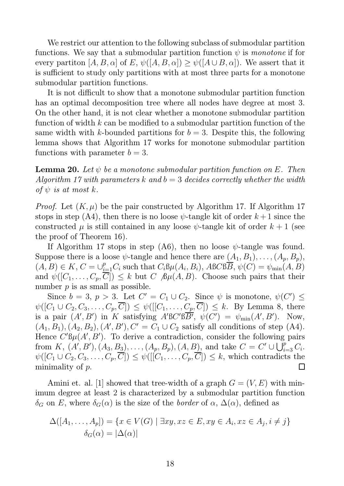We restrict our attention to the following subclass of submodular partition functions. We say that a submodular partition function  $\psi$  is monotone if for every partiton  $[A, B, \alpha]$  of E,  $\psi([A, B, \alpha]) \geq \psi([A \cup B, \alpha])$ . We assert that it is sufficient to study only partitions with at most three parts for a monotone submodular partition functions.

It is not difficult to show that a monotone submodular partition function has an optimal decomposition tree where all nodes have degree at most 3. On the other hand, it is not clear whether a monotone submodular partition function of width  $k$  can be modified to a submodular partition function of the same width with k-bounded partitions for  $b = 3$ . Despite this, the following lemma shows that Algorithm 17 works for monotone submodular partition functions with parameter  $b = 3$ .

**Lemma 20.** Let  $\psi$  be a monotone submodular partition function on E. Then Algorithm 17 with parameters k and  $b = 3$  decides correctly whether the width of  $\psi$  is at most k.

*Proof.* Let  $(K, \mu)$  be the pair constructed by Algorithm 17. If Algorithm 17 stops in step (A4), then there is no loose  $\psi$ -tangle kit of order  $k+1$  since the constructed  $\mu$  is still contained in any loose  $\psi$ -tangle kit of order  $k+1$  (see the proof of Theorem 16).

If Algorithm 17 stops in step (A6), then no loose  $\psi$ -tangle was found. Suppose there is a loose  $\psi$ -tangle and hence there are  $(A_1, B_1), \ldots, (A_p, B_p)$ ,  $(A, B) \in K$ ,  $C = \bigcup_{i=1}^{p} C_i$  such that  $C_i \mathcal{B} \mu(A_i, B_i)$ ,  $ABC\overline{B}$ ,  $\psi(C) = \psi_{\min}(A, B)$ and  $\psi([C_1,\ldots,C_p,\overline{C}]) \leq k$  but  $C \mathfrak{B} \mu(A,B)$ . Choose such pairs that their number  $p$  is as small as possible.

Since  $b = 3$ ,  $p > 3$ . Let  $C' = C_1 \cup C_2$ . Since  $\psi$  is monotone,  $\psi(C') \leq$  $\psi([C_1 \cup C_2, C_3, \ldots, C_p, \overline{C}]) \leq \psi([[C_1, \ldots, C_p, \overline{C}]) \leq k$ . By Lemma 8, there is a pair  $(A', B')$  in K satisfying  $A'B'C'B\overline{B'}, \psi(C') = \psi_{\min}(A', B')$ . Now,  $(A_1, B_1), (A_2, B_2), (A', B'), C' = C_1 \cup C_2$  satisfy all conditions of step (A4). Hence  $C' \mathcal{B} \mu(A', B')$ . To derive a contradiction, consider the following pairs from K,  $(A', B'), (A_3, B_3), \ldots, (A_p, B_p), (A, B)$ , and take  $C = C' \cup \bigcup_{i=3}^p C_i$ .  $\psi([C_1 \cup C_2, C_3, \ldots, C_p, \overline{C}]) \leq \psi([[C_1, \ldots, C_p, \overline{C}]) \leq k$ , which contradicts the minimality of  $p$ .  $\Box$ 

Amini et. al. [1] showed that tree-width of a graph  $G = (V, E)$  with minimum degree at least 2 is characterized by a submodular partition function  $\delta_G$  on E, where  $\delta_G(\alpha)$  is the size of the *border* of  $\alpha$ ,  $\Delta(\alpha)$ , defined as

$$
\Delta([A_1, \dots, A_p]) = \{x \in V(G) \mid \exists xy, xz \in E, xy \in A_i, xz \in A_j, i \neq j\}
$$

$$
\delta_G(\alpha) = |\Delta(\alpha)|
$$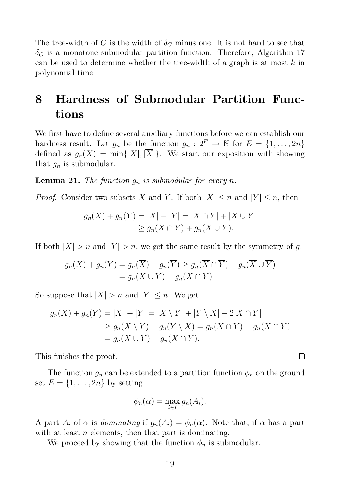The tree-width of G is the width of  $\delta_G$  minus one. It is not hard to see that  $\delta_G$  is a monotone submodular partition function. Therefore, Algorithm 17 can be used to determine whether the tree-width of a graph is at most  $k$  in polynomial time.

## 8 Hardness of Submodular Partition Functions

We first have to define several auxiliary functions before we can establish our hardness result. Let  $g_n$  be the function  $g_n: 2^E \to \mathbb{N}$  for  $E = \{1, \ldots, 2n\}$ defined as  $g_n(X) = \min\{|X|, |\overline{X}|\}.$  We start our exposition with showing that  $g_n$  is submodular.

**Lemma 21.** The function  $g_n$  is submodular for every n.

*Proof.* Consider two subsets X and Y. If both  $|X| \le n$  and  $|Y| \le n$ , then

$$
g_n(X) + g_n(Y) = |X| + |Y| = |X \cap Y| + |X \cup Y|
$$
  
\n
$$
\ge g_n(X \cap Y) + g_n(X \cup Y).
$$

If both  $|X| > n$  and  $|Y| > n$ , we get the same result by the symmetry of g.

$$
g_n(X) + g_n(Y) = g_n(\overline{X}) + g_n(\overline{Y}) \ge g_n(\overline{X} \cap \overline{Y}) + g_n(\overline{X} \cup \overline{Y})
$$
  
=  $g_n(X \cup Y) + g_n(X \cap Y)$ 

So suppose that  $|X| > n$  and  $|Y| \leq n$ . We get

$$
g_n(X) + g_n(Y) = |\overline{X}| + |Y| = |\overline{X} \setminus Y| + |Y \setminus \overline{X}| + 2|\overline{X} \cap Y|
$$
  
\n
$$
\ge g_n(\overline{X} \setminus Y) + g_n(Y \setminus \overline{X}) = g_n(\overline{X} \cap \overline{Y}) + g_n(X \cap Y)
$$
  
\n
$$
= g_n(X \cup Y) + g_n(X \cap Y).
$$

This finishes the proof.

The function  $g_n$  can be extended to a partition function  $\phi_n$  on the ground set  $E = \{1, \ldots, 2n\}$  by setting

 $\Box$ 

$$
\phi_n(\alpha) = \max_{i \in I} g_n(A_i).
$$

A part  $A_i$  of  $\alpha$  is dominating if  $g_n(A_i) = \phi_n(\alpha)$ . Note that, if  $\alpha$  has a part with at least  $n$  elements, then that part is dominating.

We proceed by showing that the function  $\phi_n$  is submodular.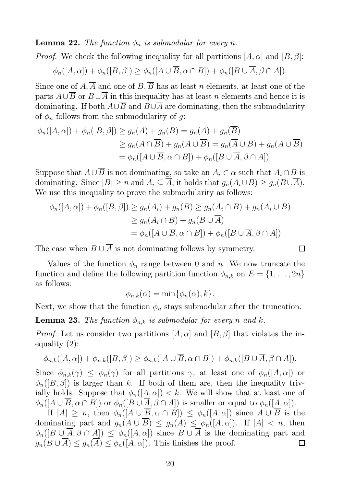#### **Lemma 22.** The function  $\phi_n$  is submodular for every n.

*Proof.* We check the following inequality for all partitions  $[A, \alpha]$  and  $[B, \beta]$ :

$$
\phi_n([A,\alpha]) + \phi_n([B,\beta]) \ge \phi_n([A \cup \overline{B}, \alpha \cap B]) + \phi_n([B \cup \overline{A}, \beta \cap A]).
$$

Since one of  $A, \overline{A}$  and one of  $B, \overline{B}$  has at least n elements, at least one of the parts  $A \cup B$  or  $B \cup A$  in this inequality has at least n elements and hence it is dominating. If both  $A\cup B$  and  $B\cup A$  are dominating, then the submodularity of  $\phi_n$  follows from the submodularity of g:

$$
\phi_n([A,\alpha]) + \phi_n([B,\beta]) \ge g_n(A) + g_n(B) = g_n(A) + g_n(\overline{B})
$$
  
\n
$$
\ge g_n(A \cap \overline{B}) + g_n(A \cup \overline{B}) = g_n(\overline{A} \cup B) + g_n(A \cup \overline{B})
$$
  
\n
$$
= \phi_n([A \cup \overline{B}, \alpha \cap B]) + \phi_n([B \cup \overline{A}, \beta \cap A])
$$

Suppose that  $A \cup \overline{B}$  is not dominating, so take an  $A_i \in \alpha$  such that  $A_i \cap B$  is dominating. Since  $|B| \ge n$  and  $A_i \subseteq \overline{A}$ , it holds that  $g_n(A_i \cup B) \ge g_n(B \cup \overline{A})$ . We use this inequality to prove the submodularity as follows:

$$
\phi_n([A,\alpha]) + \phi_n([B,\beta]) \ge g_n(A_i) + g_n(B) \ge g_n(A_i \cap B) + g_n(A_i \cup B)
$$
  
\n
$$
\ge g_n(A_i \cap B) + g_n(B \cup \overline{A})
$$
  
\n
$$
= \phi_n([A \cup \overline{B}, \alpha \cap B]) + \phi_n([B \cup \overline{A}, \beta \cap A])
$$

The case when  $B \cup A$  is not dominating follows by symmetry.

Values of the function  $\phi_n$  range between 0 and n. We now truncate the function and define the following partition function  $\phi_{n,k}$  on  $E = \{1, \ldots, 2n\}$ as follows:

$$
\phi_{n,k}(\alpha) = \min\{\phi_n(\alpha), k\}.
$$

Next, we show that the function  $\phi_n$  stays submodular after the truncation.

**Lemma 23.** The function  $\phi_{n,k}$  is submodular for every n and k.

*Proof.* Let us consider two partitions  $[A, \alpha]$  and  $[B, \beta]$  that violates the inequality (2):

$$
\phi_{n,k}([A,\alpha]) + \phi_{n,k}([B,\beta]) \ge \phi_{n,k}([A \cup \overline{B}, \alpha \cap B]) + \phi_{n,k}([B \cup \overline{A}, \beta \cap A]).
$$

Since  $\phi_{n,k}(\gamma) \leq \phi_n(\gamma)$  for all partitions  $\gamma$ , at least one of  $\phi_n([A,\alpha])$  or  $\phi_n([B, \beta])$  is larger than k. If both of them are, then the inequality trivially holds. Suppose that  $\phi_n([A,\alpha]) < k$ . We will show that at least one of  $\phi_n([A\cup \overline{B}, \alpha\cap B])$  or  $\phi_n([B\cup \overline{A}, \beta\cap A])$  is smaller or equal to  $\phi_n([A, \alpha]).$ 

If  $|A| \geq n$ , then  $\phi_n([A \cup \overline{B}, \alpha \cap B]) \leq \phi_n([A, \alpha])$  since  $A \cup \overline{B}$  is the dominating part and  $g_n(A \cup \overline{B}) \le g_n(A) \le \phi_n([A, \alpha])$ . If  $|A| < n$ , then  $\phi_n([B\cup\overline{A},\beta\cap A])\leq\phi_n([A,\alpha])$  since  $B\cup\overline{A}$  is the dominating part and  $g_n(B \cup \overline{A}) \leq g_n(\overline{A}) \leq \phi_n([A,\alpha]).$  This finishes the proof.  $\Box$ 

 $\Box$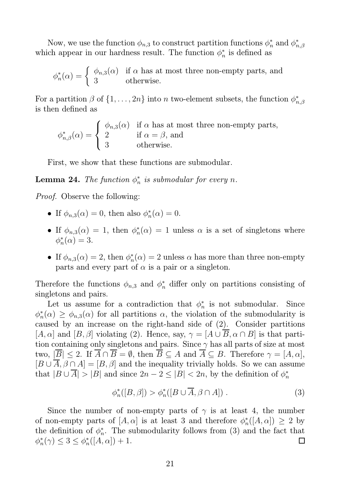Now, we use the function  $\phi_{n,3}$  to construct partition functions  $\phi_n^*$  and  $\phi_n^*$  $_{n,\beta}$ which appear in our hardness result. The function  $\phi_n^*$  $\frac{1}{n}$  is defined as

$$
\phi_n^*(\alpha) = \begin{cases} \phi_{n,3}(\alpha) & \text{if } \alpha \text{ has at most three non-empty parts, and} \\ 3 & \text{otherwise.} \end{cases}
$$

For a partition  $\beta$  of  $\{1, \ldots, 2n\}$  into n two-element subsets, the function  $\phi_n^*$  $_{n,\beta}$ is then defined as

$$
\phi_{n,\beta}^*(\alpha) = \begin{cases} \phi_{n,3}(\alpha) & \text{if } \alpha \text{ has at most three non-empty parts,} \\ 2 & \text{if } \alpha = \beta, \text{ and} \\ 3 & \text{otherwise.} \end{cases}
$$

First, we show that these functions are submodular.

**Lemma 24.** The function  $\phi_n^*$  $\frac{*}{n}$  is submodular for every n.

Proof. Observe the following:

- If  $\phi_{n,3}(\alpha) = 0$ , then also  $\phi_n^*$  $_{n}^{*}(\alpha)=0.$
- If  $\phi_{n,3}(\alpha) = 1$ , then  $\phi_n^*$  $n_n^*(\alpha) = 1$  unless  $\alpha$  is a set of singletons where  $\phi_n^*$  $_{n}^{*}(\alpha)=3.$
- If  $\phi_{n,3}(\alpha) = 2$ , then  $\phi_n^*$  $n_n^*(\alpha) = 2$  unless  $\alpha$  has more than three non-empty parts and every part of  $\alpha$  is a pair or a singleton.

Therefore the functions  $\phi_{n,3}$  and  $\phi_n^*$  differ only on partitions consisting of singletons and pairs.

Let us assume for a contradiction that  $\phi_n^*$  $\frac{1}{n}$  is not submodular. Since  $\phi_n^*$  $n_n^*(\alpha) \geq \phi_{n,3}(\alpha)$  for all partitions  $\alpha$ , the violation of the submodularity is caused by an increase on the right-hand side of (2). Consider partitions  $[A, \alpha]$  and  $[B, \beta]$  violating (2). Hence, say,  $\gamma = [A \cup \overline{B}, \alpha \cap B]$  is that partition containing only singletons and pairs. Since  $\gamma$  has all parts of size at most two,  $|\overline{B}| \leq 2$ . If  $\overline{A} \cap \overline{B} = \emptyset$ , then  $\overline{B} \subseteq A$  and  $\overline{A} \subseteq B$ . Therefore  $\gamma = [A, \alpha]$ ,  $[B \cup \overline{A}, \beta \cap A] = [B, \beta]$  and the inequality trivially holds. So we can assume that  $|B \cup \overline{A}| > |B|$  and since  $2n - 2 \leq |B| < 2n$ , by the definition of  $\phi_n^*$ n

$$
\phi_n^*([B,\beta]) > \phi_n^*([B \cup \overline{A}, \beta \cap A]). \tag{3}
$$

Since the number of non-empty parts of  $\gamma$  is at least 4, the number of non-empty parts of  $[A, \alpha]$  is at least 3 and therefore  $\phi_n^*$  $_{n}^{*}([A,\alpha]) \geq 2$  by the definition of  $\phi_n^*$  $_n^*$ . The submodularity follows from (3) and the fact that  $\phi_n^*$  $n^*(\gamma) \leq 3 \leq \phi_n^*$  $_{n}^{*}([A,\alpha])+1.$  $\Box$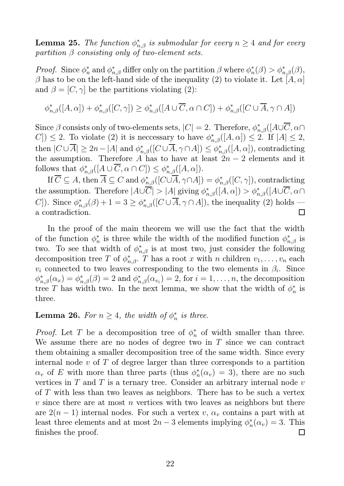**Lemma 25.** The function  $\phi_{n,\beta}^*$  is submodular for every  $n \geq 4$  and for every partition  $\beta$  consisting only of two-element sets.

*Proof.* Since  $\phi_n^*$  and  $\phi_{n,\beta}^*$  differ only on the partition  $\beta$  where  $\phi_n^*$  $\phi_{n,\beta}^*(\beta) > \phi_{n,\beta}^*(\beta),$  $\beta$  has to be on the left-hand side of the inequality (2) to violate it. Let  $[A, \alpha]$ and  $\beta = [C, \gamma]$  be the partitions violating (2):

$$
\phi_{n,\beta}^*([A,\alpha]) + \phi_{n,\beta}^*([C,\gamma]) \ge \phi_{n,\beta}^*([A \cup \overline{C}, \alpha \cap C]) + \phi_{n,\beta}^*([C \cup \overline{A}, \gamma \cap A])
$$

Since  $\beta$  consists only of two-elements sets,  $|C| = 2$ . Therefore,  $\phi_{n,\beta}^*([A\cup \overline{C}, \alpha \cap$ C])  $\leq$  2. To violate (2) it is necessary to have  $\phi_{n,\beta}^*([A,\alpha]) \leq 2$ . If  $|A| \leq 2$ , then  $|C \cup \overline{A}| \geq 2n - |A|$  and  $\phi_{n,\beta}^*([C \cup \overline{A}, \gamma \cap A]) \leq \phi_{n,\beta}^*([A,\alpha]),$  contradicting the assumption. Therefore A has to have at least  $2n-2$  elements and it follows that  $\phi_{n,\beta}^*([A\cup \overline{C}, \alpha \cap C]) \leq \phi_{n,\beta}^*([A,\alpha]).$ 

 $\mathrm{If }\,\overline{C}\subseteq A, \text{ then }\overline{A}\subseteq C \text{ and } \phi_{n,\beta}^{*}([C\cup\overline{A},\gamma\cap A])=\phi_{n,\beta}^{*}([C,\gamma]), \text{ contradicting }$ the assumption. Therefore  $|A\cup \overline{C}| > |A|$  giving  $\phi_{n,\beta}^*([A,\alpha]) > \phi_{n,\beta}^*([A\cup \overline{C}, \alpha \cap A])$ C]). Since  $\phi_{n,\beta}^*(\beta)+1=3\geq \phi_{n,\beta}^*([C\cup\overline{A},\gamma\cap A]),$  the inequality (2) holds a contradiction. П

In the proof of the main theorem we will use the fact that the width of the function  $\phi_n^*$ \* is three while the width of the modified function  $\phi_{n,\beta}^*$  is two. To see that width of  $\phi_{n,\beta}^*$  is at most two, just consider the following decomposition tree T of  $\phi_{n,\beta}^*$ . T has a root x with n children  $v_1, \ldots, v_n$  each  $v_i$  connected to two leaves corresponding to the two elements in  $\beta_i$ . Since  $\phi_{n,\beta}^*(\alpha_x) = \phi_{n,\beta}^*(\beta) = 2$  and  $\phi_{n,\beta}^*(\alpha_{v_i}) = 2$ , for  $i = 1, \ldots, n$ , the decomposition tree T has width two. In the next lemma, we show that the width of  $\phi_n^*$  $_n^*$  is three.

#### **Lemma 26.** For  $n \geq 4$ , the width of  $\phi_n^*$  $\frac{1}{n}$  is three.

*Proof.* Let T be a decomposition tree of  $\phi_n^*$  of width smaller than three. We assume there are no nodes of degree two in  $T$  since we can contract them obtaining a smaller decomposition tree of the same width. Since every internal node v of T of degree larger than three corresponds to a partition  $\alpha_v$  of E with more than three parts (thus  $\phi_n^*$  $n_n^*(\alpha_v) = 3$ , there are no such vertices in  $T$  and  $T$  is a ternary tree. Consider an arbitrary internal node  $v$ of T with less than two leaves as neighbors. There has to be such a vertex v since there are at most n vertices with two leaves as neighbors but there are  $2(n-1)$  internal nodes. For such a vertex v,  $\alpha_v$  contains a part with at least three elements and at most  $2n-3$  elements implying  $\phi_n^*$  $n^*(\alpha_v) = 3$ . This finishes the proof.  $\Box$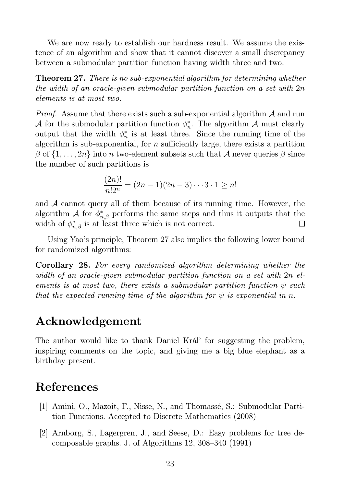We are now ready to establish our hardness result. We assume the existence of an algorithm and show that it cannot discover a small discrepancy between a submodular partition function having width three and two.

**Theorem 27.** There is no sub-exponential algorithm for determining whether the width of an oracle-given submodular partition function on a set with 2n elements is at most two.

*Proof.* Assume that there exists such a sub-exponential algorithm  $A$  and run A for the submodular partition function  $\phi_n^*$  $_n^*$ . The algorithm  $\mathcal A$  must clearly output that the width  $\phi_n^*$  $\frac{1}{n}$  is at least three. Since the running time of the algorithm is sub-exponential, for  $n$  sufficiently large, there exists a partition  $\beta$  of  $\{1, \ldots, 2n\}$  into n two-element subsets such that A never queries  $\beta$  since the number of such partitions is

$$
\frac{(2n)!}{n!2^n} = (2n-1)(2n-3)\cdots 3 \cdot 1 \ge n!
$$

and  $A$  cannot query all of them because of its running time. However, the algorithm A for  $\phi_{n,\beta}^*$  performs the same steps and thus it outputs that the width of  $\phi_{n,\beta}^*$  is at least three which is not correct.  $\Box$ 

Using Yao's principle, Theorem 27 also implies the following lower bound for randomized algorithms:

Corollary 28. For every randomized algorithm determining whether the width of an oracle-given submodular partition function on a set with 2n elements is at most two, there exists a submodular partition function  $\psi$  such that the expected running time of the algorithm for  $\psi$  is exponential in n.

## Acknowledgement

The author would like to thank Daniel Král' for suggesting the problem, inspiring comments on the topic, and giving me a big blue elephant as a birthday present.

## References

- [1] Amini, O., Mazoit, F., Nisse, N., and Thomassé, S.: Submodular Partition Functions. Accepted to Discrete Mathematics (2008)
- [2] Arnborg, S., Lagergren, J., and Seese, D.: Easy problems for tree decomposable graphs. J. of Algorithms 12, 308–340 (1991)